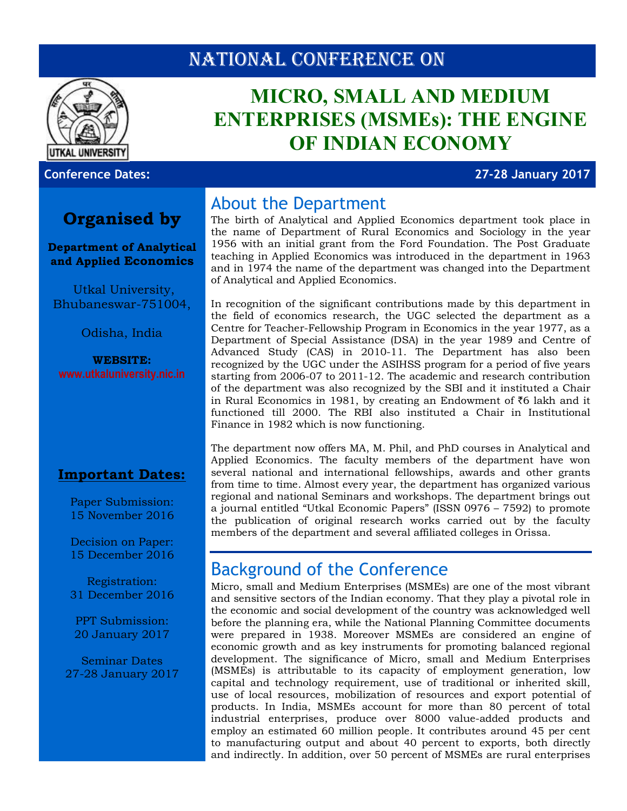## NATIONAL CONFERENCE ON



# **MICRO, SMALL AND MEDIUM ENTERPRISES (MSMEs): THE ENGINE OF INDIAN ECONOMY**

**Conference Dates: 27-28 January 2017**

### **Organised by**

#### **Department of Analytical and Applied Economics**

Utkal University, Bhubaneswar-751004,

Odisha, India

**WEBSITE: www[.utkaluniversity.nic.in](https://sites.google.com/site/aaecouu/)**

### **Important Dates:**

Paper Submission: 15 November 2016

Decision on Paper: 15 December 2016

Registration: 31 December 2016

PPT Submission: 20 January 2017

Seminar Dates 27-28 January 2017

### About the Department

The birth of Analytical and Applied Economics department took place in the name of Department of Rural Economics and Sociology in the year 1956 with an initial grant from the Ford Foundation. The Post Graduate teaching in Applied Economics was introduced in the department in 1963 and in 1974 the name of the department was changed into the Department of Analytical and Applied Economics.

In recognition of the significant contributions made by this department in the field of economics research, the UGC selected the department as a Centre for Teacher-Fellowship Program in Economics in the year 1977, as a Department of Special Assistance (DSA) in the year 1989 and Centre of Advanced Study (CAS) in 2010-11. The Department has also been recognized by the UGC under the ASIHSS program for a period of five years starting from 2006-07 to 2011-12. The academic and research contribution of the department was also recognized by the SBI and it instituted a Chair in Rural Economics in 1981, by creating an Endowment of  $\bar{z}6$  lakh and it functioned till 2000. The RBI also instituted a Chair in Institutional Finance in 1982 which is now functioning.

The department now offers MA, M. Phil, and PhD courses in Analytical and Applied Economics. The faculty members of the department have won several national and international fellowships, awards and other grants from time to time. Almost every year, the department has organized various regional and national Seminars and workshops. The department brings out a journal entitled "Utkal Economic Papers" (ISSN 0976 – 7592) to promote the publication of original research works carried out by the faculty members of the department and several affiliated colleges in Orissa.

## Background of the Conference

Micro, small and Medium Enterprises (MSMEs) are one of the most vibrant and sensitive sectors of the Indian economy. That they play a pivotal role in the economic and social development of the country was acknowledged well before the planning era, while the National Planning Committee documents were prepared in 1938. Moreover MSMEs are considered an engine of economic growth and as key instruments for promoting balanced regional development. The significance of Micro, small and Medium Enterprises (MSMEs) is attributable to its capacity of employment generation, low capital and technology requirement, use of traditional or inherited skill, use of local resources, mobilization of resources and export potential of products. In India, MSMEs account for more than 80 percent of total industrial enterprises, produce over 8000 value-added products and employ an estimated 60 million people. It contributes around 45 per cent to manufacturing output and about 40 percent to exports, both directly and indirectly. In addition, over 50 percent of MSMEs are rural enterprises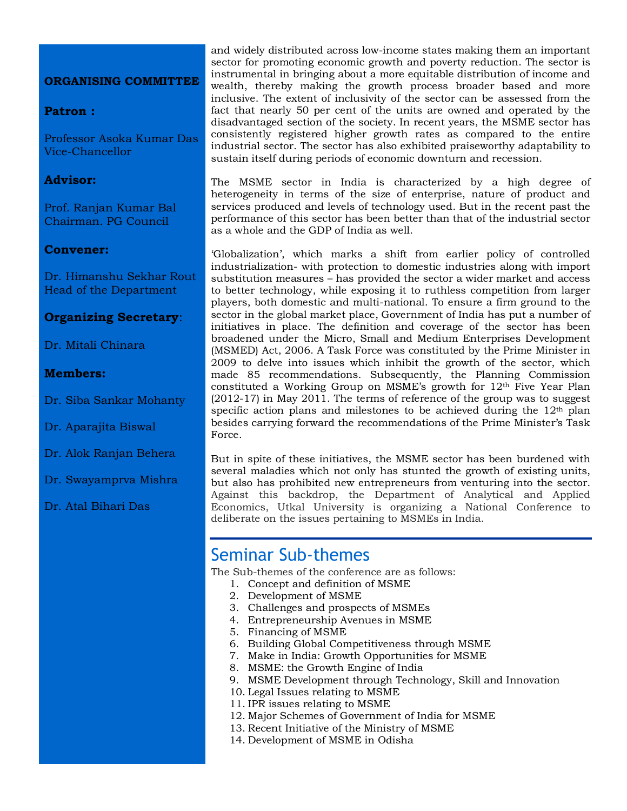#### **ORGANISING COMMITTEE**

#### **Patron :**

Professor Asoka Kumar Das Vice-Chancellor

#### **Advisor:**

Prof. Ranjan Kumar Bal Chairman. PG Council

#### **Convener:**

Dr. Himanshu Sekhar Rout Head of the Department

#### **Organizing Secretary**:

Dr. Mitali Chinara

#### **Members:**

Dr. Siba Sankar Mohanty

Dr. Aparajita Biswal

- Dr. Alok Ranjan Behera
- Dr. Swayamprva Mishra
- Dr. Atal Bihari Das

and widely distributed across low-income states making them an important sector for promoting economic growth and poverty reduction. The sector is instrumental in bringing about a more equitable distribution of income and wealth, thereby making the growth process broader based and more inclusive. The extent of inclusivity of the sector can be assessed from the fact that nearly 50 per cent of the units are owned and operated by the disadvantaged section of the society. In recent years, the MSME sector has consistently registered higher growth rates as compared to the entire industrial sector. The sector has also exhibited praiseworthy adaptability to sustain itself during periods of economic downturn and recession.

The MSME sector in India is characterized by a high degree of heterogeneity in terms of the size of enterprise, nature of product and services produced and levels of technology used. But in the recent past the performance of this sector has been better than that of the industrial sector as a whole and the GDP of India as well.

'Globalization', which marks a shift from earlier policy of controlled industrialization- with protection to domestic industries along with import substitution measures – has provided the sector a wider market and access to better technology, while exposing it to ruthless competition from larger players, both domestic and multi-national. To ensure a firm ground to the sector in the global market place, Government of India has put a number of initiatives in place. The definition and coverage of the sector has been broadened under the Micro, Small and Medium Enterprises Development (MSMED) Act, 2006. A Task Force was constituted by the Prime Minister in 2009 to delve into issues which inhibit the growth of the sector, which made 85 recommendations. Subsequently, the Planning Commission constituted a Working Group on MSME's growth for  $12<sup>th</sup>$  Five Year Plan (2012-17) in May 2011. The terms of reference of the group was to suggest specific action plans and milestones to be achieved during the  $12<sup>th</sup>$  plan besides carrying forward the recommendations of the Prime Minister's Task Force.

But in spite of these initiatives, the MSME sector has been burdened with several maladies which not only has stunted the growth of existing units, but also has prohibited new entrepreneurs from venturing into the sector. Against this backdrop, the Department of Analytical and Applied Economics, Utkal University is organizing a National Conference to deliberate on the issues pertaining to MSMEs in India.

### Seminar Sub-themes

The Sub-themes of the conference are as follows:

- 1. Concept and definition of MSME
- 2. Development of MSME
- 3. Challenges and prospects of MSMEs
- 4. Entrepreneurship Avenues in MSME
- 5. Financing of MSME
- 6. Building Global Competitiveness through MSME
- 7. Make in India: Growth Opportunities for MSME
- 8. MSME: the Growth Engine of India
- 9. MSME Development through Technology, Skill and Innovation
- 10. Legal Issues relating to MSME
- 11. IPR issues relating to MSME
- 12. Major Schemes of Government of India for MSME
- 13. Recent Initiative of the Ministry of MSME
- 14. Development of MSME in Odisha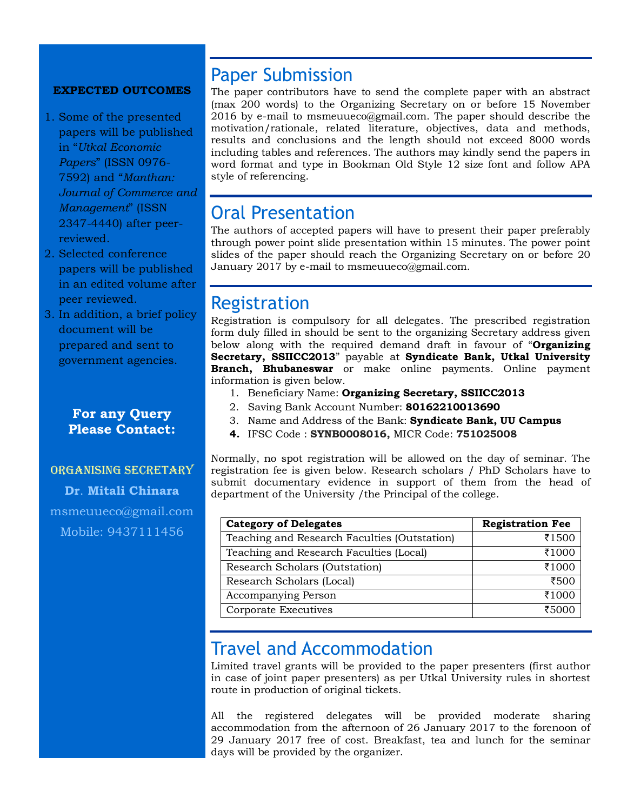#### **EXPECTED OUTCOMES**

- 1. Some of the presented papers will be published in "*Utkal Economic Papers*" (ISSN 0976- 7592) and "*Manthan: Journal of Commerce and Management*" (ISSN 2347-4440) after peerreviewed.
- 2. Selected conference papers will be published in an edited volume after peer reviewed.
- 3. In addition, a brief policy document will be prepared and sent to government agencies.

### **For any Query Please Contact:**

## Organising Secretary **[Dr](mailto:greengrowthutkal@gmail.com)**. **Mitali Chinara** [msmeuueco@gmail.com](mailto:msmeuueco@gmail.com)

Mobile: 9437111456

## Paper Submission

The paper contributors have to send the complete paper with an abstract (max 200 words) to the Organizing Secretary on or before 15 November 2016 by e-mail to [msmeuueco@gmail.com.](mailto:msmeuueco@gmail.com) The paper should describe the motivation/rationale, related literature, objectives, data and methods, results and conclusions and the length should not exceed 8000 words including tables and references. The authors may kindly send the papers in word format and type in Bookman Old Style 12 size font and follow APA style of referencing.

## Oral Presentation

The authors of accepted papers will have to present their paper preferably through power point slide presentation within 15 minutes. The power point slides of the paper should reach the Organizing Secretary on or before 20 January 2017 by e-mail to [msmeuueco@gmail.com](mailto:msmeuueco@gmail.com).

### Registration

Registration is compulsory for all delegates. The prescribed registration form duly filled in should be sent to the organizing Secretary address given below along with the required demand draft in favour of "**Organizing Secretary, SSIICC2013**" payable at **Syndicate Bank, Utkal University Branch, Bhubaneswar** or make online payments. Online payment information is given below.

- 1. Beneficiary Name: **Organizing Secretary, SSIICC2013**
- 2. Saving Bank Account Number: **80162210013690**
- 3. Name and Address of the Bank: **Syndicate Bank, UU Campus**
- **4.** IFSC Code : **SYNB0008016,** MICR Code: **751025008**

Normally, no spot registration will be allowed on the day of seminar. The registration fee is given below. Research scholars / PhD Scholars have to submit documentary evidence in support of them from the head of department of the University /the Principal of the college.

| <b>Category of Delegates</b>                 | <b>Registration Fee</b> |
|----------------------------------------------|-------------------------|
| Teaching and Research Faculties (Outstation) | ₹1500                   |
| Teaching and Research Faculties (Local)      | ₹1000                   |
| Research Scholars (Outstation)               | ₹1000                   |
| Research Scholars (Local)                    | ₹500                    |
| Accompanying Person                          | ₹1000                   |
| Corporate Executives                         | ₹500€                   |

### Travel and Accommodation

Limited travel grants will be provided to the paper presenters (first author in case of joint paper presenters) as per Utkal University rules in shortest route in production of original tickets.

All the registered delegates will be provided moderate sharing accommodation from the afternoon of 26 January 2017 to the forenoon of 29 January 2017 free of cost. Breakfast, tea and lunch for the seminar days will be provided by the organizer.